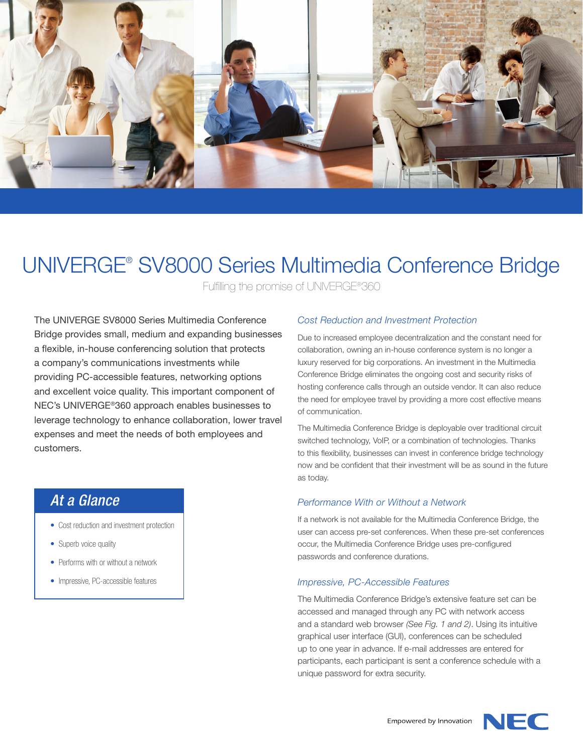

# UNIVERGE® SV8000 Series Multimedia Conference Bridge

Fulfilling the promise of UNIVERGE®360

The UNIVERGE SV8000 Series Multimedia Conference Bridge provides small, medium and expanding businesses a flexible, in-house conferencing solution that protects a company's communications investments while providing PC-accessible features, networking options and excellent voice quality. This important component of NEC's UNIVERGE®360 approach enables businesses to leverage technology to enhance collaboration, lower travel expenses and meet the needs of both employees and customers.

# *At a Glance*

- Cost reduction and investment protection
- Superb voice quality
- Performs with or without a network
- Impressive, PC-accessible features

# *Cost Reduction and Investment Protection*

Due to increased employee decentralization and the constant need for collaboration, owning an in-house conference system is no longer a luxury reserved for big corporations. An investment in the Multimedia Conference Bridge eliminates the ongoing cost and security risks of hosting conference calls through an outside vendor. It can also reduce the need for employee travel by providing a more cost effective means of communication.

The Multimedia Conference Bridge is deployable over traditional circuit switched technology, VoIP, or a combination of technologies. Thanks to this flexibility, businesses can invest in conference bridge technology now and be confident that their investment will be as sound in the future as today.

## *Performance With or Without a Network*

If a network is not available for the Multimedia Conference Bridge, the user can access pre-set conferences. When these pre-set conferences occur, the Multimedia Conference Bridge uses pre-configured passwords and conference durations.

## *Impressive, PC-Accessible Features*

The Multimedia Conference Bridge's extensive feature set can be accessed and managed through any PC with network access and a standard web browser *(See Fig. 1 and 2)*. Using its intuitive graphical user interface (GUI), conferences can be scheduled up to one year in advance. If e-mail addresses are entered for participants, each participant is sent a conference schedule with a unique password for extra security.